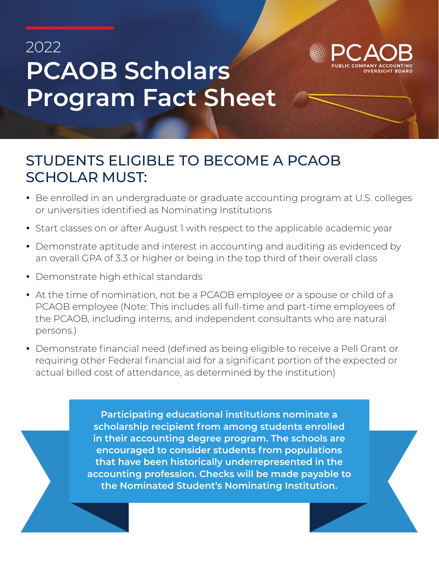## 2022 **PCAOB Scholars Program Fact Sheet**



## STUDENTS ELIGIBLE TO BECOME A PCAOB SCHOLAR MUST:

- Be enrolled in an undergraduate or graduate accounting program at U.S. colleges or universities identified as Nominating Institutions
- Start classes on or after August 1 with respect to the applicable academic year
- Demonstrate aptitude and interest in accounting and auditing as evidenced by an overall GPA of 3.3 or higher or being in the top third of their overall class
- Demonstrate high ethical standards
- At the time of nomination, not be a PCAOB employee or a spouse or child of a PCAOB employee (Note: This includes all full-time and part-time employees of the PCAOB, including interns, and independent consultants who are natural persons.)
- Demonstrate financial need (defined as being eligible to receive a Pell Grant or requiring other Federal financial aid for a significant portion of the expected or actual billed cost of attendance, as determined by the institution)

**Participating educational institutions nominate a scholarship recipient from among students enrolled in their accounting degree program. The schools are encouraged to consider students from populations that have been historically underrepresented in the accounting profession. Checks will be made payable to the Nominated Student's Nominating Institution.**